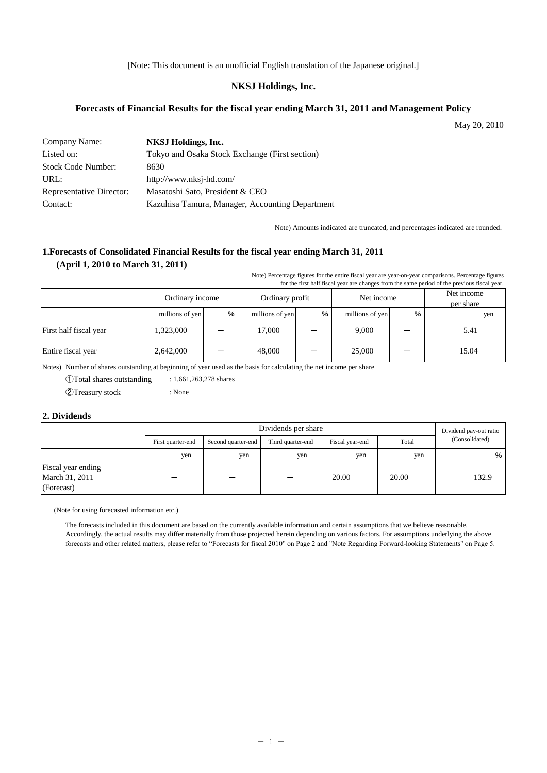[Note: This document is an unofficial English translation of the Japanese original.]

#### **NKSJ Holdings, Inc.**

#### **Forecasts of Financial Results for the fiscal year ending March 31, 2011 and Management Policy**

May 20, 2010

| Company Name:                   | NKSJ Holdings, Inc.                             |
|---------------------------------|-------------------------------------------------|
| Listed on:                      | Tokyo and Osaka Stock Exchange (First section)  |
| Stock Code Number:              | 8630                                            |
| URL:                            | http://www.nksj-hd.com/                         |
| <b>Representative Director:</b> | Masatoshi Sato, President & CEO                 |
| Contact:                        | Kazuhisa Tamura, Manager, Accounting Department |

Note) Amounts indicated are truncated, and percentages indicated are rounded.

## **1.Forecasts of Consolidated Financial Results for the fiscal year ending March 31, 2011 (April 1, 2010 to March 31, 2011)**

Note) Percentage figures for the entire fiscal year are year-on-year comparisons. Percentage figures for the first half fiscal year are changes from the same period of the previous fiscal year.

|                        | Ordinary income |   | Ordinary profit |  | Net income      |   | Net income<br>per share |  |
|------------------------|-----------------|---|-----------------|--|-----------------|---|-------------------------|--|
|                        | millions of yen | % | millions of yen |  | millions of yen | % | yen                     |  |
| First half fiscal year | 1,323,000       |   | 17,000          |  | 9,000           |   | 5.41                    |  |
| Entire fiscal year     | 2,642,000       |   | 48,000          |  | 25,000          |   | 15.04                   |  |

Notes) Number of shares outstanding at beginning of year used as the basis for calculating the net income per share

①Total shares outstanding : 1,661,263,278 shares ②Treasury stock : None

#### **2. Dividends**

|                                                    |                   | Dividend pay-out ratio |                   |                 |       |                |
|----------------------------------------------------|-------------------|------------------------|-------------------|-----------------|-------|----------------|
|                                                    | First quarter-end | Second quarter-end     | Third quarter-end | Fiscal year-end | Total | (Consolidated) |
|                                                    | yen               | yen                    | yen               | yen             | yen   | %              |
| Fiscal year ending<br>March 31, 2011<br>(Forecast) |                   |                        | -                 | 20.00           | 20.00 | 132.9          |

(Note for using forecasted information etc.)

The forecasts included in this document are based on the currently available information and certain assumptions that we believe reasonable. Accordingly, the actual results may differ materially from those projected herein depending on various factors. For assumptions underlying the above forecasts and other related matters, please refer to "Forecasts for fiscal 2010" on Page 2 and "Note Regarding Forward-looking Statements" on Page 5.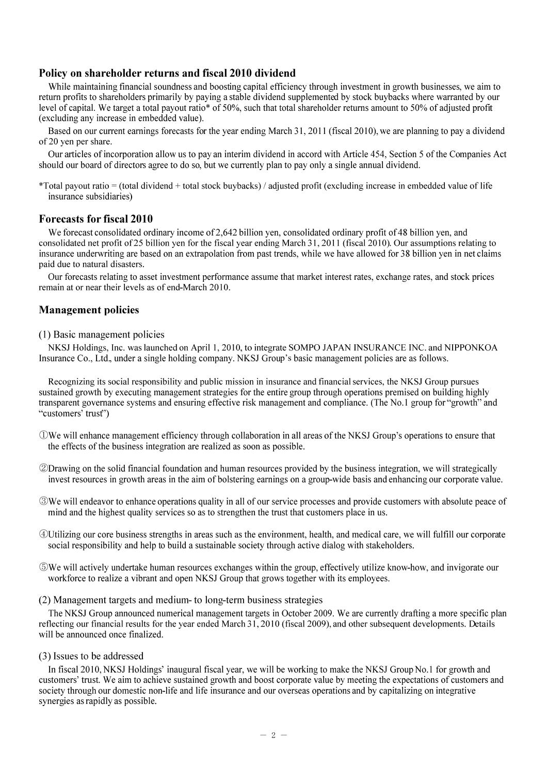### Policy on shareholder returns and fiscal 2010 dividend

While maintaining financial soundness and boosting capital efficiency through investment in growth businesses, we aim to return profits to shareholders primarily by paying a stable dividend supplemented by stock buybacks where warranted by our level of capital. We target a total payout ratio\* of 50%, such that total shareholder returns amount to 50% of adjusted profit (excluding any increase in embedded value).

Based on our current earnings forecasts for the year ending March 31, 2011 (fiscal 2010), we are planning to pay a dividend of 20 yen per share.

Our articles of incorporation allow us to pay an interim dividend in accord with Article 454, Section 5 of the Companies Act should our board of directors agree to do so, but we currently plan to pay only a single annual dividend.

\*Total payout ratio = (total dividend + total stock buybacks) / adjusted profit (excluding increase in embedded value of life insurance subsidiaries)

#### **Forecasts for fiscal 2010**

We forecast consolidated ordinary income of 2.642 billion ven, consolidated ordinary profit of 48 billion ven, and consolidated net profit of 25 billion yen for the fiscal year ending March 31, 2011 (fiscal 2010). Our assumptions relating to insurance underwriting are based on an extrapolation from past trends, while we have allowed for 38 billion yen in net claims paid due to natural disasters.

Our forecasts relating to asset investment performance assume that market interest rates, exchange rates, and stock prices remain at or near their levels as of end-March 2010.

## **Management policies**

#### (1) Basic management policies

NKSJ Holdings, Inc. was launched on April 1, 2010, to integrate SOMPO JAPAN INSURANCE INC. and NIPPONKOA Insurance Co., Ltd., under a single holding company. NKSJ Group's basic management policies are as follows.

Recognizing its social responsibility and public mission in insurance and financial services, the NKSJ Group pursues sustained growth by executing management strategies for the entire group through operations premised on building highly transparent governance systems and ensuring effective risk management and compliance. (The No.1 group for "growth" and "customers' trust")

- Owe will enhance management efficiency through collaboration in all areas of the NKSJ Group's operations to ensure that the effects of the business integration are realized as soon as possible.
- 20Drawing on the solid financial foundation and human resources provided by the business integration, we will strategically invest resources in growth areas in the aim of bolstering earnings on a group-wide basis and enhancing our corporate value.
- We will endeavor to enhance operations quality in all of our service processes and provide customers with absolute peace of mind and the highest quality services so as to strengthen the trust that customers place in us.
- 4 Utilizing our core business strengths in areas such as the environment, health, and medical care, we will fulfill our corporate social responsibility and help to build a sustainable society through active dialog with stakeholders.
- 50 We will actively undertake human resources exchanges within the group, effectively utilize know-how, and invigorate our workforce to realize a vibrant and open NKSJ Group that grows together with its employees.
- (2) Management targets and medium- to long-term business strategies

The NKSJ Group announced numerical management targets in October 2009. We are currently drafting a more specific plan reflecting our financial results for the year ended March 31, 2010 (fiscal 2009), and other subsequent developments. Details will be announced once finalized.

(3) Issues to be addressed

In fiscal 2010, NKSJ Holdings' inaugural fiscal year, we will be working to make the NKSJ Group No.1 for growth and customers' trust. We aim to achieve sustained growth and boost corporate value by meeting the expectations of customers and society through our domestic non-life and life insurance and our overseas operations and by capitalizing on integrative synergies as rapidly as possible.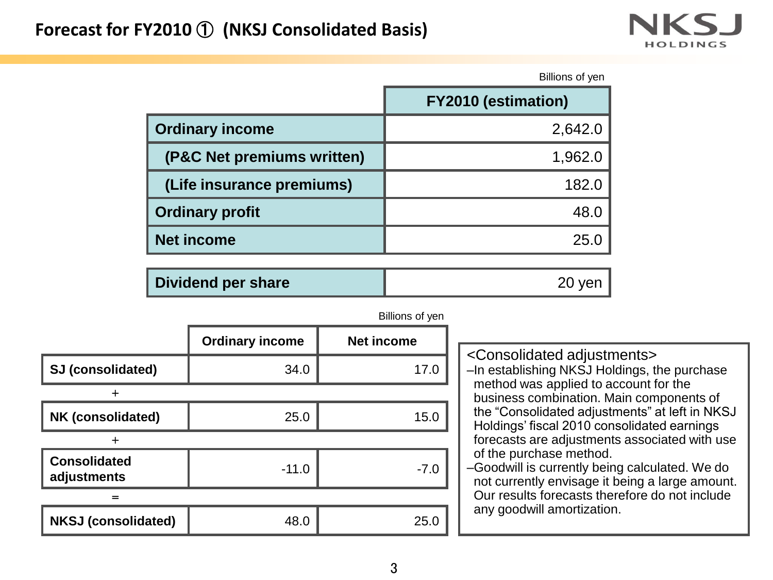

|                            | Billions of yen            |
|----------------------------|----------------------------|
|                            | <b>FY2010 (estimation)</b> |
| <b>Ordinary income</b>     | 2,642.0                    |
| (P&C Net premiums written) | 1,962.0                    |
| (Life insurance premiums)  | 182.0                      |
| <b>Ordinary profit</b>     | 48.0                       |
| <b>Net income</b>          | 25.0                       |
|                            |                            |

| <b>Dividend per share</b> |
|---------------------------|
|---------------------------|

|                                    | <b>Ordinary income</b> | <b>Net income</b> |  |  |  |
|------------------------------------|------------------------|-------------------|--|--|--|
| SJ (consolidated)                  | 34.0                   | 17.0              |  |  |  |
| $\div$                             |                        |                   |  |  |  |
| NK (consolidated)                  | 25.0                   | 15.0              |  |  |  |
|                                    |                        |                   |  |  |  |
| <b>Consolidated</b><br>adjustments | $-11.0$                | $-7.0$            |  |  |  |
| $=$                                |                        |                   |  |  |  |
| <b>NKSJ (consolidated)</b>         | 48.0                   | 25.0              |  |  |  |

| Billions of yen |  |  |
|-----------------|--|--|
|-----------------|--|--|

<Consolidated adjustments> –In establishing NKSJ Holdings, the purchase method was applied to account for the business combination. Main components of the "Consolidated adjustments" at left in NKSJ Holdings' fiscal 2010 consolidated earnings forecasts are adjustments associated with use of the purchase method. –Goodwill is currently being calculated. We do

not currently envisage it being a large amount. Our results forecasts therefore do not include any goodwill amortization.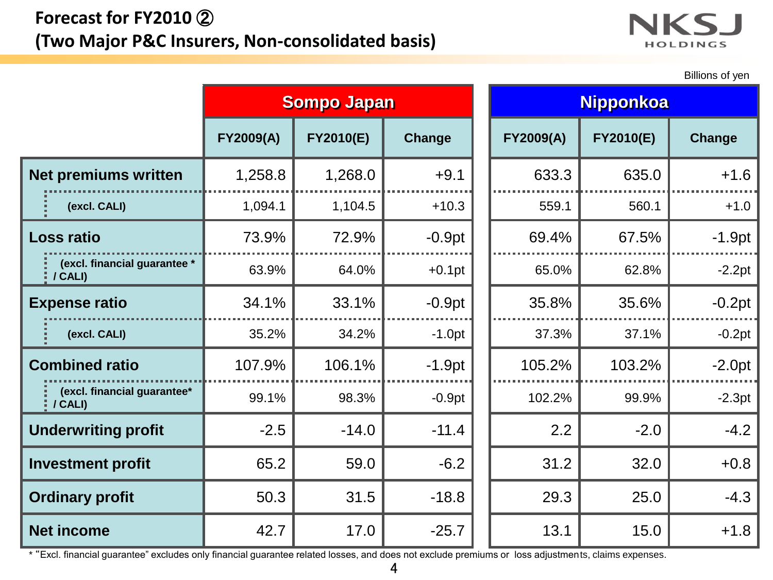# **Forecast for FY2010** ② **(Two Major P&C Insurers, Non-consolidated basis)**



Billions of yen

|                             |                                            | <b>Sompo Japan</b> |                  |               |  |                  | <b>Nipponkoa</b> |          |
|-----------------------------|--------------------------------------------|--------------------|------------------|---------------|--|------------------|------------------|----------|
|                             |                                            | <b>FY2009(A)</b>   | <b>FY2010(E)</b> | <b>Change</b> |  | <b>FY2009(A)</b> | <b>FY2010(E)</b> | Change   |
| <b>Net premiums written</b> |                                            | 1,258.8            | 1,268.0          | $+9.1$        |  | 633.3            | 635.0            | $+1.6$   |
|                             | (excl. CALI)                               | 1,094.1            | 1,104.5          | $+10.3$       |  | 559.1            | 560.1            | $+1.0$   |
|                             | <b>Loss ratio</b>                          | 73.9%              | 72.9%            | $-0.9pt$      |  | 69.4%            | 67.5%            | $-1.9pt$ |
|                             | (excl. financial guarantee *<br>$1$ CALI)  | 63.9%              | 64.0%            | $+0.1$ pt     |  | 65.0%            | 62.8%            | $-2.2pt$ |
| <b>Expense ratio</b>        |                                            | 34.1%              | 33.1%            | $-0.9pt$      |  | 35.8%            | 35.6%            | $-0.2pt$ |
|                             | (excl. CALI)                               | 35.2%              | 34.2%            | $-1.0pt$      |  | 37.3%            | 37.1%            | $-0.2pt$ |
|                             | <b>Combined ratio</b>                      | 107.9%             | 106.1%           | $-1.9pt$      |  | 105.2%           | 103.2%           | $-2.0pt$ |
|                             | (excl. financial guarantee*<br>$1$ / CALI) | 99.1%              | 98.3%            | $-0.9pt$      |  | 102.2%           | 99.9%            | $-2.3pt$ |
|                             | <b>Underwriting profit</b>                 | $-2.5$             | $-14.0$          | $-11.4$       |  | 2.2              | $-2.0$           | $-4.2$   |
|                             | <b>Investment profit</b>                   | 65.2               | 59.0             | $-6.2$        |  | 31.2             | 32.0             | $+0.8$   |
| <b>Ordinary profit</b>      |                                            | 50.3               | 31.5             | $-18.8$       |  | 29.3             | 25.0             | $-4.3$   |
|                             | <b>Net income</b>                          | 42.7               | 17.0             | $-25.7$       |  | 13.1             | 15.0             | $+1.8$   |

\* "Excl. financial guarantee" excludes only financial guarantee related losses, and does not exclude premiums or loss adjustments, claims expenses.